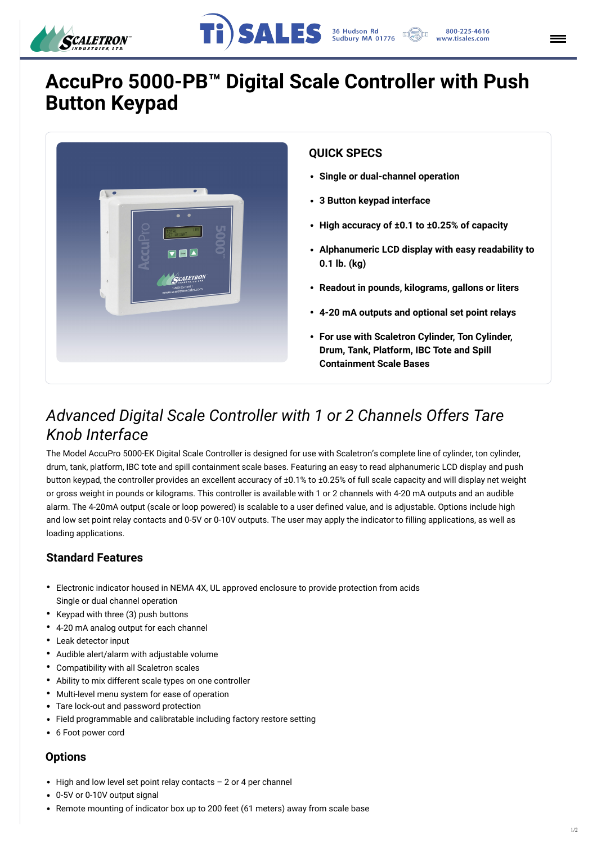



# **AccuPro 5000-PB™ Digital Scale Controller with Push Button Keypad**



### **QUICK SPECS**

- **Single or dual-channel operation**
- **3 Button keypad interface**
- **High accuracy of ±0.1 to ±0.25% of capacity**
- **Alphanumeric LCD display with easy readability to 0.1 lb. (kg)**
- **Readout in pounds, kilograms, gallons or liters**
- **4-20 mA outputs and optional set point relays**
- **For use with Scaletron Cylinder, Ton Cylinder, Drum, Tank, Platform, IBC Tote and Spill Containment Scale Bases**

### *Advanced Digital Scale Controller wit[h 1 or 2](https://scaletron.staging.wpengine.com/3001-3006-quote-request/) Channels Offers Tare Knob Interface*

The Model AccuPro 5000-EK Digital Scale Controller is designed for use with Scaletron's complete line of cylinder, ton cylinder, drum, tank, platform, IBC tote and spill containment scale bases. Featuring an easy to read alphanumeric LCD display and push button keypad, the controller provides an excellent accuracy of ±0.1% to ±0.25% of full scale capacity and will display net weight or gross weight in pounds or kilograms. This controller is available with 1 or 2 channels with 4-20 mA outputs and an audible alarm. The 4-20mA output (scale or loop powered) is scalable to a user defined value, and is adjustable. Options include high and low set point relay contacts and 0-5V or 0-10V outputs. The user may apply the indicator to filling a[pplications, as well as](https://scaletron.staging.wpengine.com/)  loading applications.

- $\bullet$  High and low level set point relay contacts  $-$  2 or 4 per channel
- 0-5V or 0-10V output signal
- Remote mounting of indicator box up to 200 feet (61 meters) away from scale base

#### **Standard Features**

- Electronic indicator housed in NEMA 4X, UL approved enclosure to provide protection from acids Single or dual channel operation
- Keypad with three (3) push buttons
- 4-20 mA analog output for each channel
- $\bullet$ Leak detector input
- $\bullet$ Audible alert/alarm with adjustable volume
- Compatibility with all Scaletron scales
- Ability to mix different scale types on one controller
- Multi-level menu system for ease of operation
- Tare lock-out and password protection
- Field programmable and calibratable including factory restore setting
- 6 Foot power cord

#### **Options**